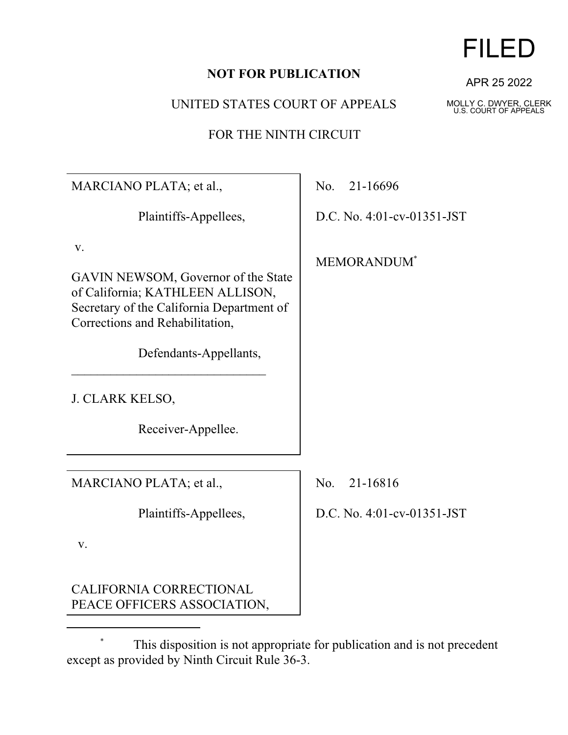## **NOT FOR PUBLICATION**

UNITED STATES COURT OF APPEALS

FOR THE NINTH CIRCUIT

**MARCIA** Plaintiffs-Appellees, v. GAVIN N of Califor Secretary Correction Defendants-Appellants, \_\_\_\_\_\_\_\_\_\_\_\_\_\_\_\_\_\_\_\_\_\_\_\_\_\_\_\_\_\_ **J. CLARK** Receiver-Appellee. **MARCIA** Plaintiffs-Appellees, v. CALIFORNIA CORRECTIONAL

PEACE OFFICERS ASSOCIATION,

\* This disposition is not appropriate for publication and is not precedent except as provided by Ninth Circuit Rule 36-3.

APR 25 2022

MOLLY C. DWYER, CLERK U.S. COURT OF APPEALS

| NO PLATA; et al.,                                                                                                                                                                | No. 21-16696               |
|----------------------------------------------------------------------------------------------------------------------------------------------------------------------------------|----------------------------|
| Plaintiffs-Appellees,                                                                                                                                                            | D.C. No. 4:01-cv-01351-JST |
| NEWSOM, Governor of the State<br>mia; KATHLEEN ALLISON,<br>of the California Department of<br>ns and Rehabilitation,<br>Defendants-Appellants,<br>K KELSO,<br>Receiver-Appellee. | MEMORANDUM*                |
| NO PLATA; et al.,                                                                                                                                                                | No. 21-16816               |
| Plaintiffs-Appellees,                                                                                                                                                            | D.C. No. 4:01-cv-01351-JST |
|                                                                                                                                                                                  |                            |

## FILED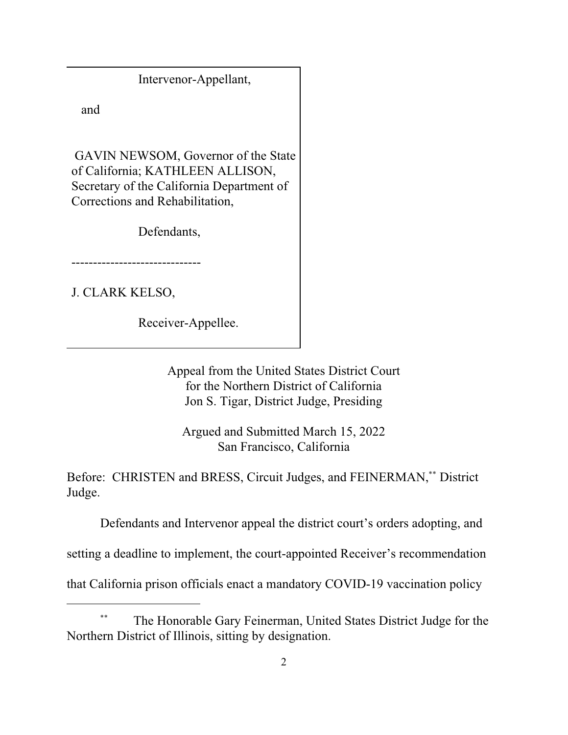Intervenor-Appellant,

and

 GAVIN NEWSOM, Governor of the State of California; KATHLEEN ALLISON, Secretary of the California Department of Corrections and Rehabilitation,

Defendants,

------------------------------

J. CLARK KELSO,

Receiver-Appellee.

Appeal from the United States District Court for the Northern District of California Jon S. Tigar, District Judge, Presiding

Argued and Submitted March 15, 2022 San Francisco, California

Before: CHRISTEN and BRESS, Circuit Judges, and FEINERMAN,\*\* District Judge.

Defendants and Intervenor appeal the district court's orders adopting, and

setting a deadline to implement, the court-appointed Receiver's recommendation

that California prison officials enact a mandatory COVID-19 vaccination policy

<sup>\*\*</sup> The Honorable Gary Feinerman, United States District Judge for the Northern District of Illinois, sitting by designation.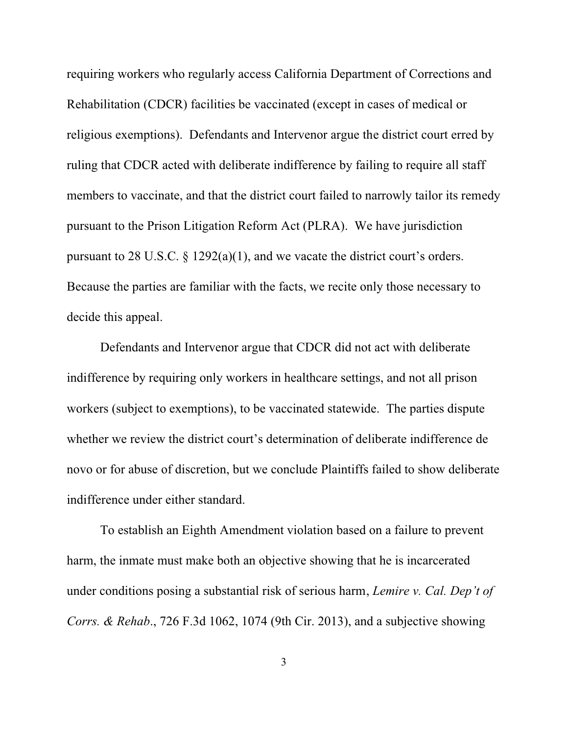requiring workers who regularly access California Department of Corrections and Rehabilitation (CDCR) facilities be vaccinated (except in cases of medical or religious exemptions). Defendants and Intervenor argue the district court erred by ruling that CDCR acted with deliberate indifference by failing to require all staff members to vaccinate, and that the district court failed to narrowly tailor its remedy pursuant to the Prison Litigation Reform Act (PLRA). We have jurisdiction pursuant to 28 U.S.C. § 1292(a)(1), and we vacate the district court's orders. Because the parties are familiar with the facts, we recite only those necessary to decide this appeal.

Defendants and Intervenor argue that CDCR did not act with deliberate indifference by requiring only workers in healthcare settings, and not all prison workers (subject to exemptions), to be vaccinated statewide. The parties dispute whether we review the district court's determination of deliberate indifference de novo or for abuse of discretion, but we conclude Plaintiffs failed to show deliberate indifference under either standard.

To establish an Eighth Amendment violation based on a failure to prevent harm, the inmate must make both an objective showing that he is incarcerated under conditions posing a substantial risk of serious harm, *Lemire v. Cal. Dep't of Corrs. & Rehab*., 726 F.3d 1062, 1074 (9th Cir. 2013), and a subjective showing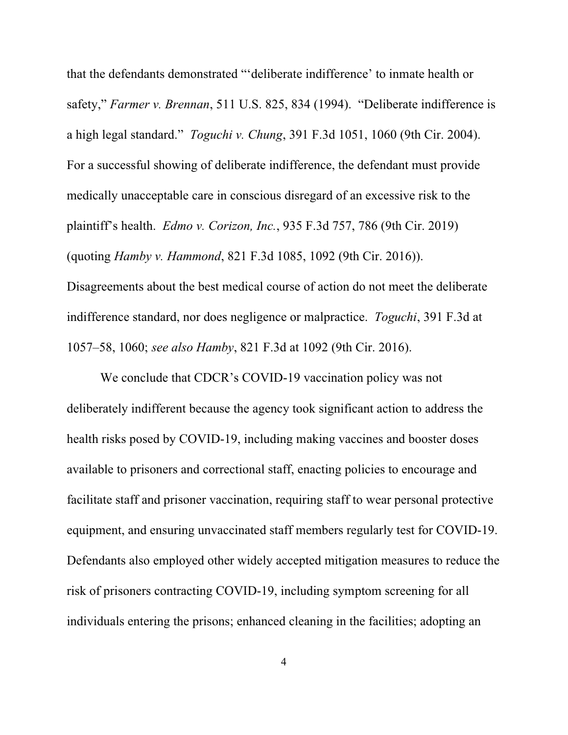that the defendants demonstrated "'deliberate indifference' to inmate health or safety," *Farmer v. Brennan*, 511 U.S. 825, 834 (1994). "Deliberate indifference is a high legal standard." *Toguchi v. Chung*, 391 F.3d 1051, 1060 (9th Cir. 2004). For a successful showing of deliberate indifference, the defendant must provide medically unacceptable care in conscious disregard of an excessive risk to the plaintiff's health. *Edmo v. Corizon, Inc.*, 935 F.3d 757, 786 (9th Cir. 2019) (quoting *Hamby v. Hammond*, 821 F.3d 1085, 1092 (9th Cir. 2016)). Disagreements about the best medical course of action do not meet the deliberate indifference standard, nor does negligence or malpractice. *Toguchi*, 391 F.3d at 1057–58, 1060; *see also Hamby*, 821 F.3d at 1092 (9th Cir. 2016).

We conclude that CDCR's COVID-19 vaccination policy was not deliberately indifferent because the agency took significant action to address the health risks posed by COVID-19, including making vaccines and booster doses available to prisoners and correctional staff, enacting policies to encourage and facilitate staff and prisoner vaccination, requiring staff to wear personal protective equipment, and ensuring unvaccinated staff members regularly test for COVID-19. Defendants also employed other widely accepted mitigation measures to reduce the risk of prisoners contracting COVID-19, including symptom screening for all individuals entering the prisons; enhanced cleaning in the facilities; adopting an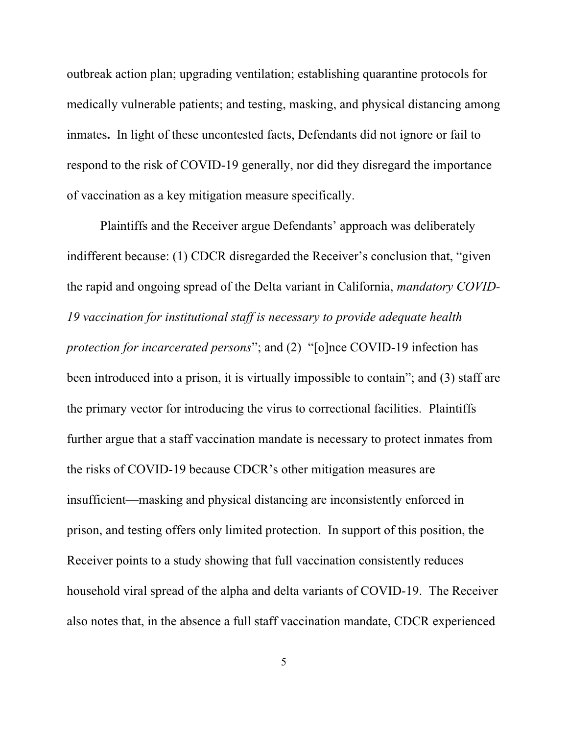outbreak action plan; upgrading ventilation; establishing quarantine protocols for medically vulnerable patients; and testing, masking, and physical distancing among inmates**.** In light of these uncontested facts, Defendants did not ignore or fail to respond to the risk of COVID-19 generally, nor did they disregard the importance of vaccination as a key mitigation measure specifically.

Plaintiffs and the Receiver argue Defendants' approach was deliberately indifferent because: (1) CDCR disregarded the Receiver's conclusion that, "given the rapid and ongoing spread of the Delta variant in California, *mandatory COVID-19 vaccination for institutional staff is necessary to provide adequate health protection for incarcerated persons*"; and (2) "[o]nce COVID-19 infection has been introduced into a prison, it is virtually impossible to contain"; and (3) staff are the primary vector for introducing the virus to correctional facilities. Plaintiffs further argue that a staff vaccination mandate is necessary to protect inmates from the risks of COVID-19 because CDCR's other mitigation measures are insufficient—masking and physical distancing are inconsistently enforced in prison, and testing offers only limited protection. In support of this position, the Receiver points to a study showing that full vaccination consistently reduces household viral spread of the alpha and delta variants of COVID-19. The Receiver also notes that, in the absence a full staff vaccination mandate, CDCR experienced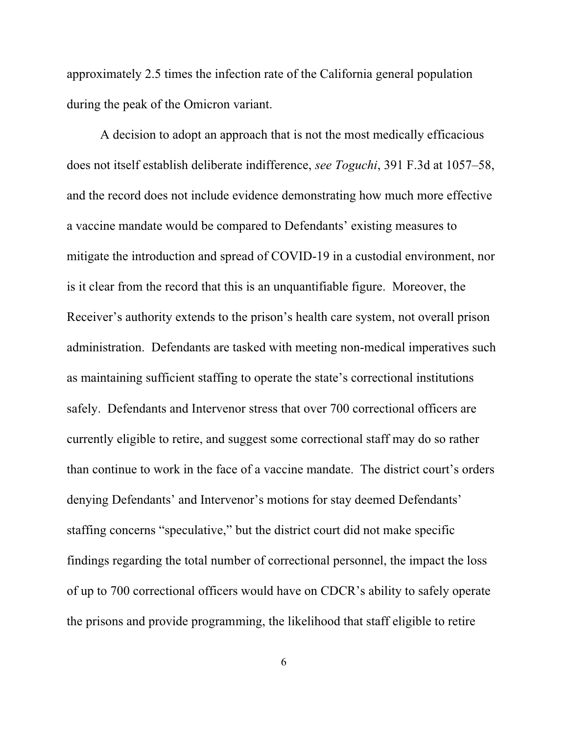approximately 2.5 times the infection rate of the California general population during the peak of the Omicron variant.

A decision to adopt an approach that is not the most medically efficacious does not itself establish deliberate indifference, *see Toguchi*, 391 F.3d at 1057–58, and the record does not include evidence demonstrating how much more effective a vaccine mandate would be compared to Defendants' existing measures to mitigate the introduction and spread of COVID-19 in a custodial environment, nor is it clear from the record that this is an unquantifiable figure. Moreover, the Receiver's authority extends to the prison's health care system, not overall prison administration. Defendants are tasked with meeting non-medical imperatives such as maintaining sufficient staffing to operate the state's correctional institutions safely. Defendants and Intervenor stress that over 700 correctional officers are currently eligible to retire, and suggest some correctional staff may do so rather than continue to work in the face of a vaccine mandate. The district court's orders denying Defendants' and Intervenor's motions for stay deemed Defendants' staffing concerns "speculative," but the district court did not make specific findings regarding the total number of correctional personnel, the impact the loss of up to 700 correctional officers would have on CDCR's ability to safely operate the prisons and provide programming, the likelihood that staff eligible to retire